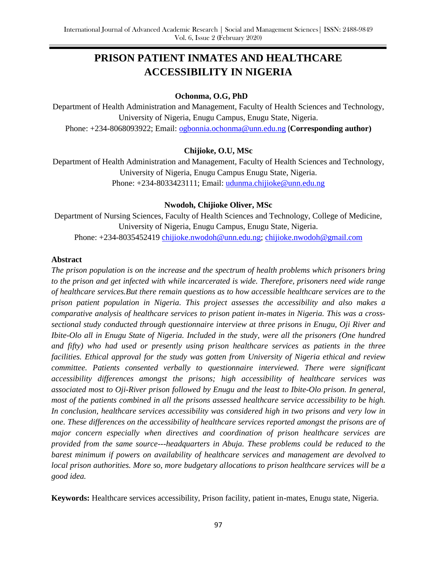# **PRISON PATIENT INMATES AND HEALTHCARE ACCESSIBILITY IN NIGERIA**

## **Ochonma, O.G, PhD**

Department of Health Administration and Management, Faculty of Health Sciences and Technology, University of Nigeria, Enugu Campus, Enugu State, Nigeria. Phone: +234-8068093922; Email: [ogbonnia.ochonma@unn.edu.ng](mailto:ogbonnia.ochonma@unn.edu.ng) (**Corresponding author)**

## **Chijioke, O.U, MSc**

Department of Health Administration and Management, Faculty of Health Sciences and Technology, University of Nigeria, Enugu Campus Enugu State, Nigeria. Phone: +234-8033423111; Email: [udunma.chijioke@unn.edu.ng](mailto:udunma.chijioke@unn.edu.ng)

## **Nwodoh, Chijioke Oliver, MSc**

Department of Nursing Sciences, Faculty of Health Sciences and Technology, College of Medicine, University of Nigeria, Enugu Campus, Enugu State, Nigeria. Phone: +234-8035452419 [chijioke.nwodoh@unn.edu.ng;](mailto:chijioke.nwodoh@unn.edu.ng) [chijioke.nwodoh@gmail.com](mailto:chijioke.nwodoh@gmail.com)

#### **Abstract**

*The prison population is on the increase and the spectrum of health problems which prisoners bring to the prison and get infected with while incarcerated is wide. Therefore, prisoners need wide range of healthcare services.But there remain questions as to how accessible healthcare services are to the prison patient population in Nigeria. This project assesses the accessibility and also makes a comparative analysis of healthcare services to prison patient in-mates in Nigeria. This was a crosssectional study conducted through questionnaire interview at three prisons in Enugu, Oji River and Ibite-Olo all in Enugu State of Nigeria. Included in the study, were all the prisoners (One hundred and fifty) who had used or presently using prison healthcare services as patients in the three facilities. Ethical approval for the study was gotten from University of Nigeria ethical and review committee. Patients consented verbally to questionnaire interviewed. There were significant accessibility differences amongst the prisons; high accessibility of healthcare services was associated most to Oji-River prison followed by Enugu and the least to Ibite-Olo prison. In general, most of the patients combined in all the prisons assessed healthcare service accessibility to be high. In conclusion, healthcare services accessibility was considered high in two prisons and very low in one. These differences on the accessibility of healthcare services reported amongst the prisons are of major concern especially when directives and coordination of prison healthcare services are provided from the same source---headquarters in Abuja. These problems could be reduced to the barest minimum if powers on availability of healthcare services and management are devolved to local prison authorities. More so, more budgetary allocations to prison healthcare services will be a good idea.*

**Keywords:** Healthcare services accessibility, Prison facility, patient in-mates, Enugu state, Nigeria.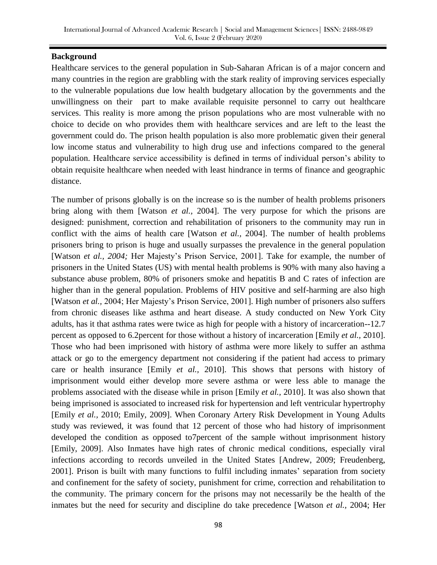## **Background**

Healthcare services to the general population in Sub-Saharan African is of a major concern and many countries in the region are grabbling with the stark reality of improving services especially to the vulnerable populations due low health budgetary allocation by the governments and the unwillingness on their part to make available requisite personnel to carry out healthcare services. This reality is more among the prison populations who are most vulnerable with no choice to decide on who provides them with healthcare services and are left to the least the government could do. The prison health population is also more problematic given their general low income status and vulnerability to high drug use and infections compared to the general population. Healthcare service accessibility is defined in terms of individual person's ability to obtain requisite healthcare when needed with least hindrance in terms of finance and geographic distance.

The number of prisons globally is on the increase so is the number of health problems prisoners bring along with them [Watson *et al.,* 2004]. The very purpose for which the prisons are designed: punishment, correction and rehabilitation of prisoners to the community may run in conflict with the aims of health care [Watson *et al.,* 2004]. The number of health problems prisoners bring to prison is huge and usually surpasses the prevalence in the general population [Watson *et al., 2004;* Her Majesty's Prison Service, 2001]. Take for example, the number of prisoners in the United States (US) with mental health problems is 90% with many also having a substance abuse problem, 80% of prisoners smoke and hepatitis B and C rates of infection are higher than in the general population. Problems of HIV positive and self-harming are also high [Watson *et al.,* 2004; Her Majesty's Prison Service, 2001]. High number of prisoners also suffers from chronic diseases like asthma and heart disease. A study conducted on New York City adults, has it that asthma rates were twice as high for people with a history of incarceration--12.7 percent as opposed to 6.2percent for those without a history of incarceration [Emily *et al.,* 2010]. Those who had been imprisoned with history of asthma were more likely to suffer an asthma attack or go to the emergency department not considering if the patient had access to primary care or health insurance [Emily *et al.,* 2010]. This shows that persons with history of imprisonment would either develop more severe asthma or were less able to manage the problems associated with the disease while in prison [Emily *et al.,* 2010]. It was also shown that being imprisoned is associated to increased risk for hypertension and left ventricular hypertrophy [Emily *et al.,* 2010; Emily, 2009]. When Coronary Artery Risk Development in Young Adults study was reviewed, it was found that 12 percent of those who had history of imprisonment developed the condition as opposed to7percent of the sample without imprisonment history [Emily, 2009]. Also Inmates have high rates of chronic medical conditions, especially viral infections according to records unveiled in the United States [Andrew, 2009; Freudenberg, 2001]. Prison is built with many functions to fulfil including inmates' separation from society and confinement for the safety of society, punishment for crime, correction and rehabilitation to the community. The primary concern for the prisons may not necessarily be the health of the inmates but the need for security and discipline do take precedence [Watson *et al.,* 2004; Her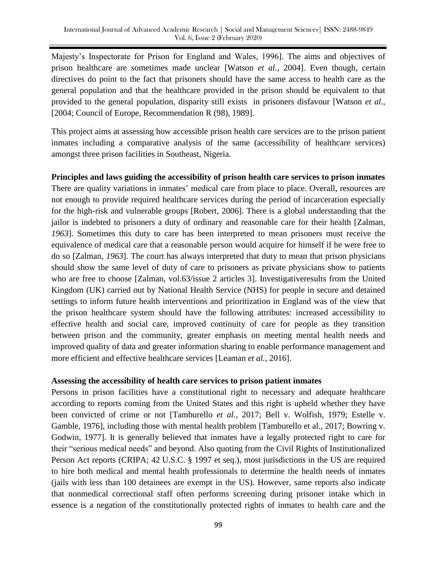Majesty's Inspectorate for Prison for England and Wales, 1996]. The aims and objectives of prison healthcare are sometimes made unclear [Watson *et al.,* 2004]. Even though, certain directives do point to the fact that prisoners should have the same access to health care as the general population and that the healthcare provided in the prison should be equivalent to that provided to the general population, disparity still exists in prisoners disfavour [Watson *et al.,* [2004; Council of Europe, Recommendation R (98), 1989].

This project aims at assessing how accessible prison health care services are to the prison patient inmates including a comparative analysis of the same (accessibility of healthcare services) amongst three prison facilities in Southeast, Nigeria.

## **Principles and laws guiding the accessibility of prison health care services to prison inmates**

There are quality variations in inmates' medical care from place to place. Overall, resources are not enough to provide required healthcare services during the period of incarceration especially for the high-risk and vulnerable groups [Robert, 2006]. There is a global understanding that the jailor is indebted to prisoners a duty of ordinary and reasonable care for their health [Zalman, *1963*]. Sometimes this duty to care has been interpreted to mean prisoners must receive the equivalence of medical care that a reasonable person would acquire for himself if he were free to do so [Zalman, *1963*]. The court has always interpreted that duty to mean that prison physicians should show the same level of duty of care to prisoners as private physicians show to patients who are free to choose [Zalman, vol.63/issue 2 articles 3]. Investigativeresults from the United Kingdom (UK) carried out by National Health Service (NHS) for people in secure and detained settings to inform future health interventions and prioritization in England was of the view that the prison healthcare system should have the following attributes: increased accessibility to effective health and social care, improved continuity of care for people as they transition between prison and the community, greater emphasis on meeting mental health needs and improved quality of data and greater information sharing to enable performance management and more efficient and effective healthcare services [Leaman *et al.,* 2016].

#### **Assessing the accessibility of health care services to prison patient inmates**

Persons in prison facilities have a constitutional right to necessary and adequate healthcare according to reports coming from the United States and this right is upheld whether they have been convicted of crime or not [Tamburello *et al.,* 2017; Bell v. Wolfish, 1979; Estelle v. Gamble, 1976], including those with mental health problem [Tamburello et al., 2017; Bowring v. Godwin, 1977]. It is generally believed that inmates have a legally protected right to care for their "serious medical needs" and beyond. Also quoting from the Civil Rights of Institutionalized Person Act reports (CRIPA; 42 U.S.C. § 1997 et seq.), most jurisdictions in the US are required to hire both medical and mental health professionals to determine the health needs of inmates (jails with less than 100 detainees are exempt in the US). However, same reports also indicate that nonmedical correctional staff often performs screening during prisoner intake which in essence is a negation of the constitutionally protected rights of inmates to health care and the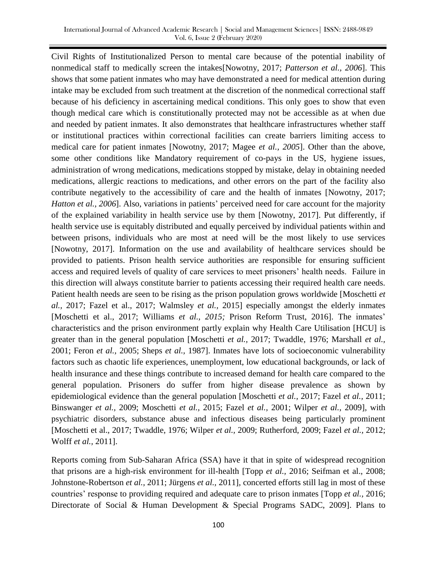Civil Rights of Institutionalized Person to mental care because of the potential inability of nonmedical staff to medically screen the intakes[Nowotny, 2017; *Patterson et al., 2006*]. This shows that some patient inmates who may have demonstrated a need for medical attention during intake may be excluded from such treatment at the discretion of the nonmedical correctional staff because of his deficiency in ascertaining medical conditions. This only goes to show that even though medical care which is constitutionally protected may not be accessible as at when due and needed by patient inmates. It also demonstrates that healthcare infrastructures whether staff or institutional practices within correctional facilities can create barriers limiting access to medical care for patient inmates [Nowotny, 2017; Magee *et al., 2005*]. Other than the above, some other conditions like Mandatory requirement of co-pays in the US, hygiene issues, administration of wrong medications, medications stopped by mistake, delay in obtaining needed medications, allergic reactions to medications, and other errors on the part of the facility also contribute negatively to the accessibility of care and the health of inmates [Nowotny, 2017; *Hatton et al., 2006*]. Also, variations in patients' perceived need for care account for the majority of the explained variability in health service use by them [Nowotny, 2017]. Put differently, if health service use is equitably distributed and equally perceived by individual patients within and between prisons, individuals who are most at need will be the most likely to use services [Nowotny, 2017]. Information on the use and availability of healthcare services should be provided to patients. Prison health service authorities are responsible for ensuring sufficient access and required levels of quality of care services to meet prisoners' health needs. Failure in this direction will always constitute barrier to patients accessing their required health care needs. Patient health needs are seen to be rising as the prison population grows worldwide [Moschetti *et al.,* 2017; Fazel et al., 2017; Walmsley *et al.,* 2015] especially amongst the elderly inmates [Moschetti et al., 2017; Williams *et al., 2015;* Prison Reform Trust, 2016]. The inmates' characteristics and the prison environment partly explain why Health Care Utilisation [HCU] is greater than in the general population [Moschetti *et al.,* 2017; Twaddle, 1976; Marshall *et al.,*  2001; Feron *et al.,* 2005; Sheps *et al.,* 1987]. Inmates have lots of socioeconomic vulnerability factors such as chaotic life experiences, unemployment, low educational backgrounds, or lack of health insurance and these things contribute to increased demand for health care compared to the general population. Prisoners do suffer from higher disease prevalence as shown by epidemiological evidence than the general population [Moschetti *et al.,* 2017; Fazel *et al.,* 2011; Binswanger *et al.,* 2009; Moschetti *et al.,* 2015; Fazel *et al.,* 2001; Wilper *et al.,* 2009], with psychiatric disorders, substance abuse and infectious diseases being particularly prominent [Moschetti et al., 2017; Twaddle, 1976; Wilper *et al.,* 2009; Rutherford, 2009; Fazel *et al.,* 2012; Wolff *et al.,* 2011].

Reports coming from Sub-Saharan Africa (SSA) have it that in spite of widespread recognition that prisons are a high-risk environment for ill-health [Topp *et al.,* 2016; Seifman et al., 2008; Johnstone-Robertson *et al.,* 2011; Jürgens *et al.,* 2011], concerted efforts still lag in most of these countries' response to providing required and adequate care to prison inmates [Topp *et al.,* 2016; Directorate of Social & Human Development & Special Programs SADC, 2009]. Plans to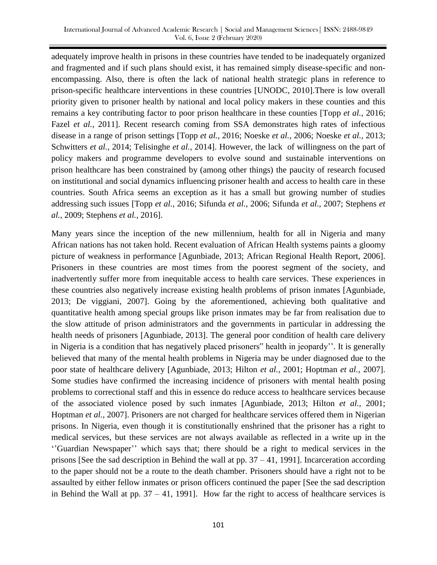adequately improve health in prisons in these countries have tended to be inadequately organized and fragmented and if such plans should exist, it has remained simply disease-specific and nonencompassing. Also, there is often the lack of national health strategic plans in reference to prison-specific healthcare interventions in these countries [UNODC, 2010].There is low overall priority given to prisoner health by national and local policy makers in these counties and this remains a key contributing factor to poor prison healthcare in these counties [Topp *et al.,* 2016; Fazel *et al.*, 2011]. Recent research coming from SSA demonstrates high rates of infectious disease in a range of prison settings [Topp *et al.,* 2016; Noeske *et al.,* 2006; Noeske *et al.,* 2013; Schwitters *et al.,* 2014; Telisinghe *et al.,* 2014]. However, the lack of willingness on the part of policy makers and programme developers to evolve sound and sustainable interventions on prison healthcare has been constrained by (among other things) the paucity of research focused on institutional and social dynamics influencing prisoner health and access to health care in these countries. South Africa seems an exception as it has a small but growing number of studies addressing such issues [Topp *et al.,* 2016; Sifunda *et al.,* 2006; Sifunda *et al.,* 2007; Stephens *et al.,* 2009; Stephens *et al.,* 2016].

Many years since the inception of the new millennium, health for all in Nigeria and many African nations has not taken hold. Recent evaluation of African Health systems paints a gloomy picture of weakness in performance [Agunbiade, 2013; African Regional Health Report, 2006]. Prisoners in these countries are most times from the poorest segment of the society, and inadvertently suffer more from inequitable access to health care services. These experiences in these countries also negatively increase existing health problems of prison inmates [Agunbiade, 2013; De viggiani, 2007]. Going by the aforementioned, achieving both qualitative and quantitative health among special groups like prison inmates may be far from realisation due to the slow attitude of prison administrators and the governments in particular in addressing the health needs of prisoners [Agunbiade, 2013]. The general poor condition of health care delivery in Nigeria is a condition that has negatively placed prisoners" health in jeopardy''. It is generally believed that many of the mental health problems in Nigeria may be under diagnosed due to the poor state of healthcare delivery [Agunbiade, 2013; Hilton *et al.,* 2001; Hoptman *et al.,* 2007]. Some studies have confirmed the increasing incidence of prisoners with mental health posing problems to correctional staff and this in essence do reduce access to healthcare services because of the associated violence posed by such inmates [Agunbiade, 2013; Hilton *et al.,* 2001; Hoptman *et al.*, 2007]. Prisoners are not charged for healthcare services offered them in Nigerian prisons. In Nigeria, even though it is constitutionally enshrined that the prisoner has a right to medical services, but these services are not always available as reflected in a write up in the ‗'Guardian Newspaper'' which says that; there should be a right to medical services in the prisons [See the sad description in Behind the wall at pp.  $37 - 41$ , 1991]. Incarceration according to the paper should not be a route to the death chamber. Prisoners should have a right not to be assaulted by either fellow inmates or prison officers continued the paper [See the sad description in Behind the Wall at pp.  $37 - 41$ , 1991]. How far the right to access of healthcare services is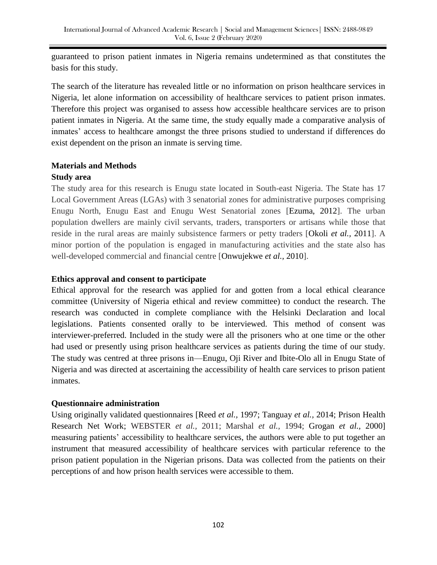guaranteed to prison patient inmates in Nigeria remains undetermined as that constitutes the basis for this study.

The search of the literature has revealed little or no information on prison healthcare services in Nigeria, let alone information on accessibility of healthcare services to patient prison inmates. Therefore this project was organised to assess how accessible healthcare services are to prison patient inmates in Nigeria. At the same time, the study equally made a comparative analysis of inmates' access to healthcare amongst the three prisons studied to understand if differences do exist dependent on the prison an inmate is serving time.

## **Materials and Methods**

## **Study area**

The study area for this research is Enugu state located in South-east Nigeria. The State has 17 Local Government Areas (LGAs) with 3 senatorial zones for administrative purposes comprising Enugu North, Enugu East and Enugu West Senatorial zones [Ezuma, 2012]. The urban population dwellers are mainly civil servants, traders, transporters or artisans while those that reside in the rural areas are mainly subsistence farmers or petty traders [Okoli *et al.,* 2011]. A minor portion of the population is engaged in manufacturing activities and the state also has well-developed commercial and financial centre [Onwujekwe *et al.,* 2010].

## **Ethics approval and consent to participate**

Ethical approval for the research was applied for and gotten from a local ethical clearance committee (University of Nigeria ethical and review committee) to conduct the research. The research was conducted in complete compliance with the Helsinki Declaration and local legislations. Patients consented orally to be interviewed. This method of consent was interviewer-preferred. Included in the study were all the prisoners who at one time or the other had used or presently using prison healthcare services as patients during the time of our study. The study was centred at three prisons in—Enugu, Oji River and Ibite-Olo all in Enugu State of Nigeria and was directed at ascertaining the accessibility of health care services to prison patient inmates.

# **Questionnaire administration**

Using originally validated questionnaires [Reed *et al.,* 1997; Tanguay *et al.,* 2014; Prison Health Research Net Work; WEBSTER *et al.,* 2011; Marshal *et al.,* 1994; Grogan *et al.,* 2000] measuring patients' accessibility to healthcare services, the authors were able to put together an instrument that measured accessibility of healthcare services with particular reference to the prison patient population in the Nigerian prisons. Data was collected from the patients on their perceptions of and how prison health services were accessible to them.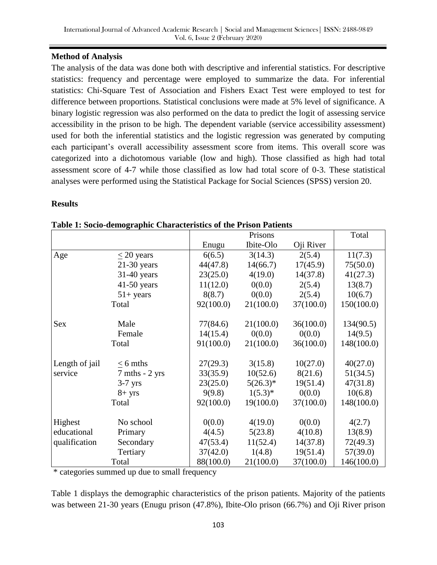## **Method of Analysis**

The analysis of the data was done both with descriptive and inferential statistics. For descriptive statistics: frequency and percentage were employed to summarize the data. For inferential statistics: Chi-Square Test of Association and Fishers Exact Test were employed to test for difference between proportions. Statistical conclusions were made at 5% level of significance. A binary logistic regression was also performed on the data to predict the logit of assessing service accessibility in the prison to be high. The dependent variable (service accessibility assessment) used for both the inferential statistics and the logistic regression was generated by computing each participant's overall accessibility assessment score from items. This overall score was categorized into a dichotomous variable (low and high). Those classified as high had total assessment score of 4-7 while those classified as low had total score of 0-3. These statistical analyses were performed using the Statistical Package for Social Sciences (SPSS) version 20.

## **Results**

|                |                                  |           | Prisons      |           | Total      |
|----------------|----------------------------------|-----------|--------------|-----------|------------|
|                |                                  | Enugu     | Ibite-Olo    | Oji River |            |
| Age            | $\leq$ 20 years                  | 6(6.5)    | 3(14.3)      | 2(5.4)    | 11(7.3)    |
|                | $21-30$ years                    | 44(47.8)  | 14(66.7)     | 17(45.9)  | 75(50.0)   |
|                | $31-40$ years                    | 23(25.0)  | 4(19.0)      | 14(37.8)  | 41(27.3)   |
|                | $41-50$ years                    | 11(12.0)  | 0(0.0)       | 2(5.4)    | 13(8.7)    |
|                | $51+ years$                      | 8(8.7)    | 0(0.0)       | 2(5.4)    | 10(6.7)    |
|                | Total                            | 92(100.0) | 21(100.0)    | 37(100.0) | 150(100.0) |
|                |                                  |           |              |           |            |
| <b>Sex</b>     | Male                             | 77(84.6)  | 21(100.0)    | 36(100.0) | 134(90.5)  |
|                | Female                           | 14(15.4)  | 0(0.0)       | 0(0.0)    | 14(9.5)    |
|                | Total                            | 91(100.0) | 21(100.0)    | 36(100.0) | 148(100.0) |
|                |                                  |           |              |           |            |
| Length of jail | $\leq$ 6 mths                    | 27(29.3)  | 3(15.8)      | 10(27.0)  | 40(27.0)   |
| service        | $7 \text{ mths} - 2 \text{ yrs}$ | 33(35.9)  | 10(52.6)     | 8(21.6)   | 51(34.5)   |
|                | $3-7$ yrs                        | 23(25.0)  | $5(26.3)^*$  | 19(51.4)  | 47(31.8)   |
|                | $8 + yrs$                        | 9(9.8)    | $1(5.3)^{*}$ | 0(0.0)    | 10(6.8)    |
|                | Total                            | 92(100.0) | 19(100.0)    | 37(100.0) | 148(100.0) |
|                |                                  |           |              |           |            |
| Highest        | No school                        | 0(0.0)    | 4(19.0)      | 0(0.0)    | 4(2.7)     |
| educational    | Primary                          | 4(4.5)    | 5(23.8)      | 4(10.8)   | 13(8.9)    |
| qualification  | Secondary                        | 47(53.4)  | 11(52.4)     | 14(37.8)  | 72(49.3)   |
|                | Tertiary                         | 37(42.0)  | 1(4.8)       | 19(51.4)  | 57(39.0)   |
|                | Total                            | 88(100.0) | 21(100.0)    | 37(100.0) | 146(100.0) |

\* categories summed up due to small frequency

Table 1 displays the demographic characteristics of the prison patients. Majority of the patients was between 21-30 years (Enugu prison (47.8%), Ibite-Olo prison (66.7%) and Oji River prison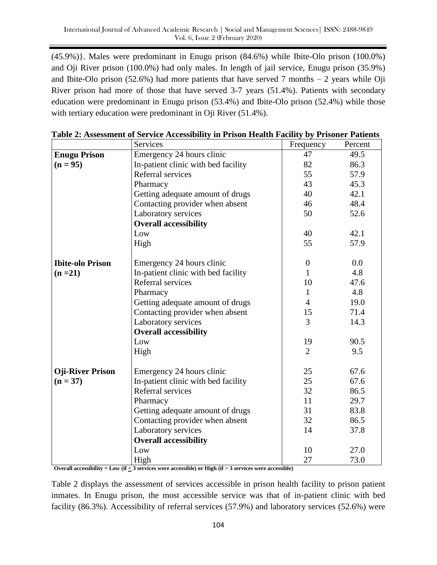(45.9%)}. Males were predominant in Enugu prison (84.6%) while Ibite-Olo prison (100.0%) and Oji River prison (100.0%) had only males. In length of jail service, Enugu prison (35.9%) and Ibite-Olo prison  $(52.6%)$  had more patients that have served 7 months  $-2$  years while Oji River prison had more of those that have served 3-7 years (51.4%). Patients with secondary education were predominant in Enugu prison (53.4%) and Ibite-Olo prison (52.4%) while those with tertiary education were predominant in Oji River (51.4%).

|                         | <b>Services</b>                     | Frequency      | Percent |
|-------------------------|-------------------------------------|----------------|---------|
| <b>Enugu Prison</b>     | Emergency 24 hours clinic           | 47             | 49.5    |
| $(n = 95)$              | In-patient clinic with bed facility | 82             | 86.3    |
|                         | Referral services                   | 55             | 57.9    |
|                         | Pharmacy                            | 43             | 45.3    |
|                         | Getting adequate amount of drugs    | 40             | 42.1    |
|                         | Contacting provider when absent     | 46             | 48.4    |
|                         | Laboratory services                 | 50             | 52.6    |
|                         | <b>Overall accessibility</b>        |                |         |
|                         | Low                                 | 40             | 42.1    |
|                         | High                                | 55             | 57.9    |
| <b>Ibite-olo Prison</b> | Emergency 24 hours clinic           | $\mathbf{0}$   | 0.0     |
| $(n=21)$                | In-patient clinic with bed facility | 1              | 4.8     |
|                         | Referral services                   | 10             | 47.6    |
|                         | Pharmacy                            | $\mathbf{1}$   | 4.8     |
|                         | Getting adequate amount of drugs    | $\overline{4}$ | 19.0    |
|                         | Contacting provider when absent     | 15             | 71.4    |
|                         | Laboratory services                 | 3              | 14.3    |
|                         | <b>Overall accessibility</b>        |                |         |
|                         | Low                                 | 19             | 90.5    |
|                         | High                                | $\overline{2}$ | 9.5     |
| <b>Oji-River Prison</b> | Emergency 24 hours clinic           | 25             | 67.6    |
| $(n = 37)$              | In-patient clinic with bed facility | 25             | 67.6    |
|                         | Referral services                   | 32             | 86.5    |
|                         | Pharmacy                            | 11             | 29.7    |
|                         | Getting adequate amount of drugs    | 31             | 83.8    |
|                         | Contacting provider when absent     | 32             | 86.5    |
|                         | Laboratory services                 | 14             | 37.8    |
|                         | <b>Overall accessibility</b>        |                |         |
|                         | Low                                 | 10             | 27.0    |
|                         | High                                | 27             | 73.0    |

|  |  |  | Table 2: Assessment of Service Accessibility in Prison Health Facility by Prisoner Patients |
|--|--|--|---------------------------------------------------------------------------------------------|

**Overall accessibility = Low (if < 3 services were accessible) or High (if > 3 services were accessible)**

Table 2 displays the assessment of services accessible in prison health facility to prison patient inmates. In Enugu prison, the most accessible service was that of in-patient clinic with bed facility (86.3%). Accessibility of referral services (57.9%) and laboratory services (52.6%) were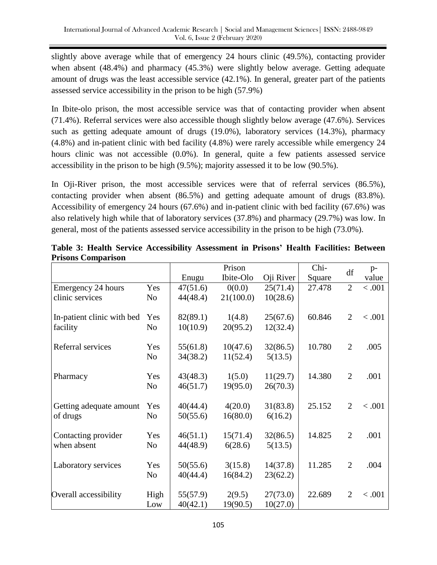slightly above average while that of emergency 24 hours clinic (49.5%), contacting provider when absent (48.4%) and pharmacy (45.3%) were slightly below average. Getting adequate amount of drugs was the least accessible service (42.1%). In general, greater part of the patients assessed service accessibility in the prison to be high (57.9%)

In Ibite-olo prison, the most accessible service was that of contacting provider when absent (71.4%). Referral services were also accessible though slightly below average (47.6%). Services such as getting adequate amount of drugs (19.0%), laboratory services (14.3%), pharmacy (4.8%) and in-patient clinic with bed facility (4.8%) were rarely accessible while emergency 24 hours clinic was not accessible (0.0%). In general, quite a few patients assessed service accessibility in the prison to be high (9.5%); majority assessed it to be low (90.5%).

In Oji-River prison, the most accessible services were that of referral services (86.5%), contacting provider when absent (86.5%) and getting adequate amount of drugs (83.8%). Accessibility of emergency 24 hours (67.6%) and in-patient clinic with bed facility (67.6%) was also relatively high while that of laboratory services (37.8%) and pharmacy (29.7%) was low. In general, most of the patients assessed service accessibility in the prison to be high (73.0%).

|                            |                |          | Prison    |           | Chi-   | df             | $p-$   |
|----------------------------|----------------|----------|-----------|-----------|--------|----------------|--------|
|                            |                | Enugu    | Ibite-Olo | Oji River | Square |                | value  |
| Emergency 24 hours         | Yes            | 47(51.6) | 0(0.0)    | 25(71.4)  | 27.478 | $\overline{2}$ | < .001 |
| clinic services            | N <sub>o</sub> | 44(48.4) | 21(100.0) | 10(28.6)  |        |                |        |
|                            |                |          |           |           |        |                |        |
| In-patient clinic with bed | Yes            | 82(89.1) | 1(4.8)    | 25(67.6)  | 60.846 | $\overline{2}$ | < .001 |
| facility                   | N <sub>o</sub> | 10(10.9) | 20(95.2)  | 12(32.4)  |        |                |        |
|                            |                |          |           |           |        |                |        |
| Referral services          | Yes            | 55(61.8) | 10(47.6)  | 32(86.5)  | 10.780 | $\overline{2}$ | .005   |
|                            | No             | 34(38.2) | 11(52.4)  | 5(13.5)   |        |                |        |
|                            |                |          |           |           |        |                |        |
| Pharmacy                   | Yes            | 43(48.3) | 1(5.0)    | 11(29.7)  | 14.380 | $\overline{2}$ | .001   |
|                            | N <sub>o</sub> | 46(51.7) | 19(95.0)  | 26(70.3)  |        |                |        |
|                            |                |          |           |           |        |                |        |
| Getting adequate amount    | Yes            | 40(44.4) | 4(20.0)   | 31(83.8)  | 25.152 | $\overline{2}$ | < .001 |
| of drugs                   | N <sub>o</sub> | 50(55.6) | 16(80.0)  | 6(16.2)   |        |                |        |
|                            |                |          |           |           |        |                |        |
| Contacting provider        | Yes            | 46(51.1) | 15(71.4)  | 32(86.5)  | 14.825 | $\overline{2}$ | .001   |
| when absent                | N <sub>o</sub> | 44(48.9) | 6(28.6)   | 5(13.5)   |        |                |        |
|                            |                |          |           |           |        |                |        |
| Laboratory services        | Yes            | 50(55.6) | 3(15.8)   | 14(37.8)  | 11.285 | $\overline{2}$ | .004   |
|                            | N <sub>o</sub> | 40(44.4) | 16(84.2)  | 23(62.2)  |        |                |        |
|                            |                |          |           |           |        |                |        |
| Overall accessibility      | High           | 55(57.9) | 2(9.5)    | 27(73.0)  | 22.689 | $\overline{2}$ | < .001 |
|                            | Low            | 40(42.1) | 19(90.5)  | 10(27.0)  |        |                |        |

**Table 3: Health Service Accessibility Assessment in Prisons' Health Facilities: Between Prisons Comparison**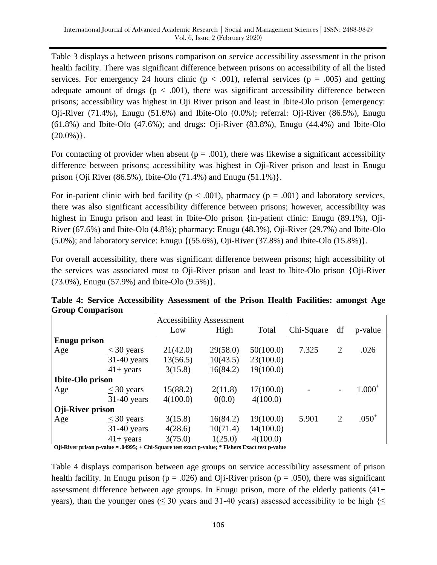Table 3 displays a between prisons comparison on service accessibility assessment in the prison health facility. There was significant difference between prisons on accessibility of all the listed services. For emergency 24 hours clinic ( $p < .001$ ), referral services ( $p = .005$ ) and getting adequate amount of drugs ( $p < .001$ ), there was significant accessibility difference between prisons; accessibility was highest in Oji River prison and least in Ibite-Olo prison {emergency: Oji-River (71.4%), Enugu (51.6%) and Ibite-Olo (0.0%); referral: Oji-River (86.5%), Enugu (61.8%) and Ibite-Olo (47.6%); and drugs: Oji-River (83.8%), Enugu (44.4%) and Ibite-Olo  $(20.0\%)$ .

For contacting of provider when absent ( $p = .001$ ), there was likewise a significant accessibility difference between prisons; accessibility was highest in Oji-River prison and least in Enugu prison {Oji River (86.5%), Ibite-Olo (71.4%) and Enugu (51.1%)}.

For in-patient clinic with bed facility ( $p < .001$ ), pharmacy ( $p = .001$ ) and laboratory services, there was also significant accessibility difference between prisons; however, accessibility was highest in Enugu prison and least in Ibite-Olo prison {in-patient clinic: Enugu (89.1%), Oji-River (67.6%) and Ibite-Olo (4.8%); pharmacy: Enugu (48.3%), Oji-River (29.7%) and Ibite-Olo (5.0%); and laboratory service: Enugu {(55.6%), Oji-River (37.8%) and Ibite-Olo (15.8%)}.

For overall accessibility, there was significant difference between prisons; high accessibility of the services was associated most to Oji-River prison and least to Ibite-Olo prison {Oji-River (73.0%), Enugu (57.9%) and Ibite-Olo (9.5%)}.

| Table 4: Service Accessibility Assessment of the Prison Health Facilities: amongst Age |  |  |  |  |
|----------------------------------------------------------------------------------------|--|--|--|--|
| <b>Group Comparison</b>                                                                |  |  |  |  |
|                                                                                        |  |  |  |  |

|                         |                 |          | <b>Accessibility Assessment</b> |           |            |                          |             |
|-------------------------|-----------------|----------|---------------------------------|-----------|------------|--------------------------|-------------|
|                         |                 | Low      | High                            | Total     | Chi-Square | df                       | p-value     |
| <b>Enugu prison</b>     |                 |          |                                 |           |            |                          |             |
| Age                     | $\leq 30$ years | 21(42.0) | 29(58.0)                        | 50(100.0) | 7.325      | $\overline{2}$           | .026        |
|                         | $31-40$ years   | 13(56.5) | 10(43.5)                        | 23(100.0) |            |                          |             |
|                         | $41+$ years     | 3(15.8)  | 16(84.2)                        | 19(100.0) |            |                          |             |
| <b>Ibite-Olo prison</b> |                 |          |                                 |           |            |                          |             |
| Age                     | $<$ 30 years    | 15(88.2) | 2(11.8)                         | 17(100.0) |            | $\overline{\phantom{a}}$ | $1.000^{+}$ |
|                         | $31-40$ years   | 4(100.0) | 0(0.0)                          | 4(100.0)  |            |                          |             |
| <b>Oji-River prison</b> |                 |          |                                 |           |            |                          |             |
| Age                     | $\leq$ 30 years | 3(15.8)  | 16(84.2)                        | 19(100.0) | 5.901      | $\overline{2}$           | $.050^{+}$  |
|                         | $31-40$ years   | 4(28.6)  | 10(71.4)                        | 14(100.0) |            |                          |             |
|                         | $41+$ years     | 3(75.0)  | 1(25.0)                         | 4(100.0)  |            |                          |             |

**Oji-River prison p-value = .04995; + Chi-Square test exact p-value; \* Fishers Exact test p-value**

Table 4 displays comparison between age groups on service accessibility assessment of prison health facility. In Enugu prison ( $p = .026$ ) and Oji-River prison ( $p = .050$ ), there was significant assessment difference between age groups. In Enugu prison, more of the elderly patients (41+ years), than the younger ones ( $\leq$  30 years and 31-40 years) assessed accessibility to be high { $\leq$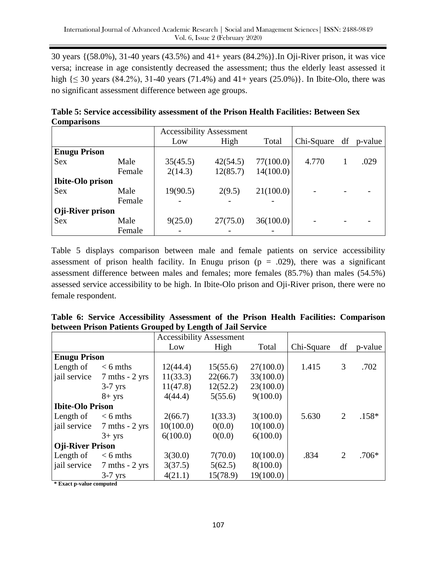30 years {(58.0%), 31-40 years (43.5%) and 41+ years (84.2%)}.In Oji-River prison, it was vice versa; increase in age consistently decreased the assessment; thus the elderly least assessed it high  $\{\leq 30 \text{ years } (84.2\%)$ , 31-40 years (71.4%) and 41+ years (25.0%)}. In Ibite-Olo, there was no significant assessment difference between age groups.

**Table 5: Service accessibility assessment of the Prison Health Facilities: Between Sex Comparisons**

|                         |        | <b>Accessibility Assessment</b> |          |           |            |    |         |
|-------------------------|--------|---------------------------------|----------|-----------|------------|----|---------|
|                         |        | Low                             | High     | Total     | Chi-Square | df | p-value |
| <b>Enugu Prison</b>     |        |                                 |          |           |            |    |         |
| <b>Sex</b>              | Male   | 35(45.5)                        | 42(54.5) | 77(100.0) | 4.770      |    | .029    |
|                         | Female | 2(14.3)                         | 12(85.7) | 14(100.0) |            |    |         |
| <b>Ibite-Olo prison</b> |        |                                 |          |           |            |    |         |
| <b>Sex</b>              | Male   | 19(90.5)                        | 2(9.5)   | 21(100.0) |            |    |         |
|                         | Female |                                 |          |           |            |    |         |
| Oji-River prison        |        |                                 |          |           |            |    |         |
| <b>Sex</b>              | Male   | 9(25.0)                         | 27(75.0) | 36(100.0) |            |    |         |
|                         | Female |                                 |          |           |            |    |         |

Table 5 displays comparison between male and female patients on service accessibility assessment of prison health facility. In Enugu prison ( $p = .029$ ), there was a significant assessment difference between males and females; more females (85.7%) than males (54.5%) assessed service accessibility to be high. In Ibite-Olo prison and Oji-River prison, there were no female respondent.

|                                       | $\sigma$ , $\sigma$ , $\sigma$ , $\sigma$ , $\sigma$ , $\sigma$ , $\sigma$ , $\sigma$ , $\sigma$ , $\sigma$ , $\sigma$ , $\sigma$ , $\sigma$ , $\sigma$ | <b>Accessibility Assessment</b> |          |           |            |                |         |
|---------------------------------------|---------------------------------------------------------------------------------------------------------------------------------------------------------|---------------------------------|----------|-----------|------------|----------------|---------|
|                                       |                                                                                                                                                         | Low                             | High     | Total     | Chi-Square | df             | p-value |
| <b>Enugu Prison</b>                   |                                                                                                                                                         |                                 |          |           |            |                |         |
| Length of                             | $< 6$ mths                                                                                                                                              | 12(44.4)                        | 15(55.6) | 27(100.0) | 1.415      | 3              | .702    |
| jail service                          | $7 \text{ mths} - 2 \text{ yrs}$                                                                                                                        | 11(33.3)                        | 22(66.7) | 33(100.0) |            |                |         |
|                                       | $3-7$ yrs                                                                                                                                               | 11(47.8)                        | 12(52.2) | 23(100.0) |            |                |         |
|                                       | $8 + yrs$                                                                                                                                               | 4(44.4)                         | 5(55.6)  | 9(100.0)  |            |                |         |
| <b>Ibite-Olo Prison</b>               |                                                                                                                                                         |                                 |          |           |            |                |         |
| Length of                             | $< 6$ mths                                                                                                                                              | 2(66.7)                         | 1(33.3)  | 3(100.0)  | 5.630      | $\overline{2}$ | $.158*$ |
| jail service                          | $7 \text{ mths} - 2 \text{ yrs}$                                                                                                                        | 10(100.0)                       | 0(0.0)   | 10(100.0) |            |                |         |
|                                       | $3+$ yrs                                                                                                                                                | 6(100.0)                        | 0(0.0)   | 6(100.0)  |            |                |         |
| <b>Oji-River Prison</b>               |                                                                                                                                                         |                                 |          |           |            |                |         |
| Length of                             | $< 6$ mths                                                                                                                                              | 3(30.0)                         | 7(70.0)  | 10(100.0) | .834       | $\overline{2}$ | $.706*$ |
|                                       | jail service 7 mths - 2 yrs                                                                                                                             | 3(37.5)                         | 5(62.5)  | 8(100.0)  |            |                |         |
| <b>A. 10. 10. 10. 10. 10. 10. 10.</b> | $3-7$ yrs                                                                                                                                               | 4(21.1)                         | 15(78.9) | 19(100.0) |            |                |         |

**Table 6: Service Accessibility Assessment of the Prison Health Facilities: Comparison between Prison Patients Grouped by Length of Jail Service**

**\* Exact p-value computed**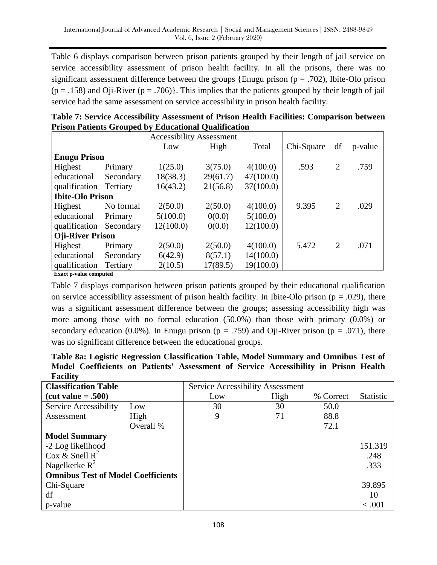Table 6 displays comparison between prison patients grouped by their length of jail service on service accessibility assessment of prison health facility. In all the prisons, there was no significant assessment difference between the groups {Enugu prison ( $p = .702$ ), Ibite-Olo prison  $(p = .158)$  and Oji-River  $(p = .706)$ . This implies that the patients grouped by their length of jail service had the same assessment on service accessibility in prison health facility.

|                         |           | <b>Accessibility Assessment</b> |          |           |            |                |         |
|-------------------------|-----------|---------------------------------|----------|-----------|------------|----------------|---------|
|                         |           | Low                             | High     | Total     | Chi-Square | df             | p-value |
| <b>Enugu Prison</b>     |           |                                 |          |           |            |                |         |
| Highest                 | Primary   | 1(25.0)                         | 3(75.0)  | 4(100.0)  | .593       | $\overline{2}$ | .759    |
| educational             | Secondary | 18(38.3)                        | 29(61.7) | 47(100.0) |            |                |         |
| qualification           | Tertiary  | 16(43.2)                        | 21(56.8) | 37(100.0) |            |                |         |
| <b>Ibite-Olo Prison</b> |           |                                 |          |           |            |                |         |
| Highest                 | No formal | 2(50.0)                         | 2(50.0)  | 4(100.0)  | 9.395      | 2              | .029    |
| educational             | Primary   | 5(100.0)                        | 0(0.0)   | 5(100.0)  |            |                |         |
| qualification           | Secondary | 12(100.0)                       | 0(0.0)   | 12(100.0) |            |                |         |
| <b>Oji-River Prison</b> |           |                                 |          |           |            |                |         |
| Highest                 | Primary   | 2(50.0)                         | 2(50.0)  | 4(100.0)  | 5.472      | 2              | .071    |
| educational             | Secondary | 6(42.9)                         | 8(57.1)  | 14(100.0) |            |                |         |
| qualification           | Tertiary  | 2(10.5)                         | 17(89.5) | 19(100.0) |            |                |         |

**Table 7: Service Accessibility Assessment of Prison Health Facilities: Comparison between Prison Patients Grouped by Educational Qualification**

**Exact p-value computed**

Table 7 displays comparison between prison patients grouped by their educational qualification on service accessibility assessment of prison health facility. In Ibite-Olo prison ( $p = .029$ ), there was a significant assessment difference between the groups; assessing accessibility high was more among those with no formal education (50.0%) than those with primary (0.0%) or secondary education (0.0%). In Enugu prison ( $p = .759$ ) and Oji-River prison ( $p = .071$ ), there was no significant difference between the educational groups.

|                 |  |  |  | Table 8a: Logistic Regression Classification Table, Model Summary and Omnibus Test of |  |  |
|-----------------|--|--|--|---------------------------------------------------------------------------------------|--|--|
|                 |  |  |  | Model Coefficients on Patients' Assessment of Service Accessibility in Prison Health  |  |  |
| <b>Facility</b> |  |  |  |                                                                                       |  |  |

| <b>Classification Table</b>               |           | Service Accessibility Assessment |      |           |                  |
|-------------------------------------------|-----------|----------------------------------|------|-----------|------------------|
| $(cut value = .500)$                      |           | Low                              | High | % Correct | <b>Statistic</b> |
| Service Accessibility                     | Low       | 30                               | 30   | 50.0      |                  |
| Assessment                                | High      | 9                                | 71   | 88.8      |                  |
|                                           | Overall % |                                  |      | 72.1      |                  |
| <b>Model Summary</b>                      |           |                                  |      |           |                  |
| -2 Log likelihood                         |           |                                  |      |           | 151.319          |
| Cox & Snell $R^2$                         |           |                                  |      |           | .248             |
| Nagelkerke $R^2$                          |           |                                  |      |           | .333             |
| <b>Omnibus Test of Model Coefficients</b> |           |                                  |      |           |                  |
| Chi-Square                                |           |                                  |      |           | 39.895           |
| df                                        |           |                                  |      |           | 10               |
| p-value                                   |           |                                  |      |           | < 0.001          |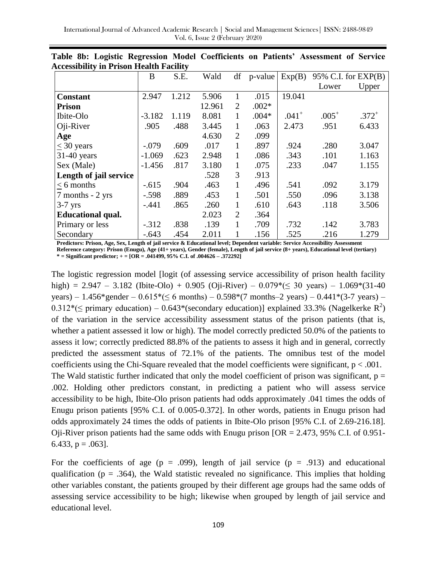|                          | B        | S.E.  | Wald   | df             | p-value | Exp(B)  | 95% C.I. for $EXP(B)$ |            |
|--------------------------|----------|-------|--------|----------------|---------|---------|-----------------------|------------|
|                          |          |       |        |                |         |         | Lower                 | Upper      |
| <b>Constant</b>          | 2.947    | 1.212 | 5.906  |                | .015    | 19.041  |                       |            |
| <b>Prison</b>            |          |       | 12.961 | $\overline{2}$ | $.002*$ |         |                       |            |
| Ibite-Olo                | $-3.182$ | 1.119 | 8.081  | 1              | $.004*$ | $.041+$ | $.005^{+}$            | $.372^{+}$ |
| Oji-River                | .905     | .488  | 3.445  | 1              | .063    | 2.473   | .951                  | 6.433      |
| Age                      |          |       | 4.630  | $\overline{2}$ | .099    |         |                       |            |
| $<$ 30 years             | $-.079$  | .609  | .017   |                | .897    | .924    | .280                  | 3.047      |
| $31-40$ years            | $-1.069$ | .623  | 2.948  | 1              | .086    | .343    | .101                  | 1.163      |
| Sex (Male)               | $-1.456$ | .817  | 3.180  | 1              | .075    | .233    | .047                  | 1.155      |
| Length of jail service   |          |       | .528   | 3              | .913    |         |                       |            |
| $< 6$ months             | $-.615$  | .904  | .463   | 1              | .496    | .541    | .092                  | 3.179      |
| 7 months - 2 yrs         | $-.598$  | .889  | .453   | 1              | .501    | .550    | .096                  | 3.138      |
| $3-7$ yrs                | $-.441$  | .865  | .260   | 1              | .610    | .643    | .118                  | 3.506      |
| <b>Educational qual.</b> |          |       | 2.023  | $\overline{2}$ | .364    |         |                       |            |
| Primary or less          | $-.312$  | .838  | .139   |                | .709    | .732    | .142                  | 3.783      |
| Secondary                | $-.643$  | .454  | 2.011  |                | .156    | .525    | .216                  | 1.279      |

**Table 8b: Logistic Regression Model Coefficients on Patients' Assessment of Service Accessibility in Prison Health Facility**

**Predictors: Prison, Age, Sex, Length of jail service & Educational level; Dependent variable: Service Accessibility Assessment Reference category: Prison (Enugu), Age (41+ years), Gender (female), Length of jail service (8+ years), Educational level (tertiary) \* = Significant predictor; + = [OR = .041499, 95% C.I. of .004626 – .372292]**

The logistic regression model [logit (of assessing service accessibility of prison health facility high) = 2.947 – 3.182 (Ibite-Olo) + 0.905 (Oji-River) – 0.079 $*(\leq 30 \text{ years})$  – 1.069 $*(31-40 \text{ years})$ years) – 1.456\*gender –  $0.615*(\leq 6 \text{ months}) - 0.598*(7 \text{ months} - 2 \text{ years}) - 0.441*(3-7 \text{ years})$  – 0.312\*( $\leq$  primary education) – 0.643\*(secondary education)] explained 33.3% (Nagelkerke R<sup>2</sup>) of the variation in the service accessibility assessment status of the prison patients (that is, whether a patient assessed it low or high). The model correctly predicted 50.0% of the patients to assess it low; correctly predicted 88.8% of the patients to assess it high and in general, correctly predicted the assessment status of 72.1% of the patients. The omnibus test of the model coefficients using the Chi-Square revealed that the model coefficients were significant,  $p < .001$ . The Wald statistic further indicated that only the model coefficient of prison was significant,  $p =$ .002. Holding other predictors constant, in predicting a patient who will assess service accessibility to be high, Ibite-Olo prison patients had odds approximately .041 times the odds of Enugu prison patients [95% C.I. of 0.005-0.372]. In other words, patients in Enugu prison had odds approximately 24 times the odds of patients in Ibite-Olo prison [95% C.I. of 2.69-216.18]. Oji-River prison patients had the same odds with Enugu prison  $[OR = 2.473, 95\% \text{ C.I. of } 0.951$ -6.433,  $p = .063$ ].

For the coefficients of age ( $p = .099$ ), length of jail service ( $p = .913$ ) and educational qualification ( $p = .364$ ), the Wald statistic revealed no significance. This implies that holding other variables constant, the patients grouped by their different age groups had the same odds of assessing service accessibility to be high; likewise when grouped by length of jail service and educational level.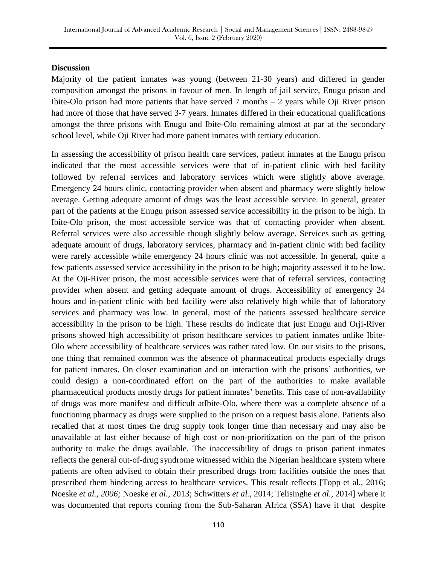#### **Discussion**

Majority of the patient inmates was young (between 21-30 years) and differed in gender composition amongst the prisons in favour of men. In length of jail service, Enugu prison and Ibite-Olo prison had more patients that have served 7 months – 2 years while Oji River prison had more of those that have served 3-7 years. Inmates differed in their educational qualifications amongst the three prisons with Enugu and Ibite-Olo remaining almost at par at the secondary school level, while Oji River had more patient inmates with tertiary education.

In assessing the accessibility of prison health care services, patient inmates at the Enugu prison indicated that the most accessible services were that of in-patient clinic with bed facility followed by referral services and laboratory services which were slightly above average. Emergency 24 hours clinic, contacting provider when absent and pharmacy were slightly below average. Getting adequate amount of drugs was the least accessible service. In general, greater part of the patients at the Enugu prison assessed service accessibility in the prison to be high. In Ibite-Olo prison, the most accessible service was that of contacting provider when absent. Referral services were also accessible though slightly below average. Services such as getting adequate amount of drugs, laboratory services, pharmacy and in-patient clinic with bed facility were rarely accessible while emergency 24 hours clinic was not accessible. In general, quite a few patients assessed service accessibility in the prison to be high; majority assessed it to be low. At the Oji-River prison, the most accessible services were that of referral services, contacting provider when absent and getting adequate amount of drugs. Accessibility of emergency 24 hours and in-patient clinic with bed facility were also relatively high while that of laboratory services and pharmacy was low. In general, most of the patients assessed healthcare service accessibility in the prison to be high. These results do indicate that just Enugu and Orji-River prisons showed high accessibility of prison healthcare services to patient inmates unlike Ibite-Olo where accessibility of healthcare services was rather rated low. On our visits to the prisons, one thing that remained common was the absence of pharmaceutical products especially drugs for patient inmates. On closer examination and on interaction with the prisons' authorities, we could design a non-coordinated effort on the part of the authorities to make available pharmaceutical products mostly drugs for patient inmates' benefits. This case of non-availability of drugs was more manifest and difficult atIbite-Olo, where there was a complete absence of a functioning pharmacy as drugs were supplied to the prison on a request basis alone. Patients also recalled that at most times the drug supply took longer time than necessary and may also be unavailable at last either because of high cost or non-prioritization on the part of the prison authority to make the drugs available. The inaccessibility of drugs to prison patient inmates reflects the general out-of-drug syndrome witnessed within the Nigerian healthcare system where patients are often advised to obtain their prescribed drugs from facilities outside the ones that prescribed them hindering access to healthcare services. This result reflects [Topp et al., 2016; Noeske *et al., 2006;* Noeske *et al.,* 2013; Schwitters *et al.,* 2014; Telisinghe *et al.,* 2014] where it was documented that reports coming from the Sub-Saharan Africa (SSA) have it that despite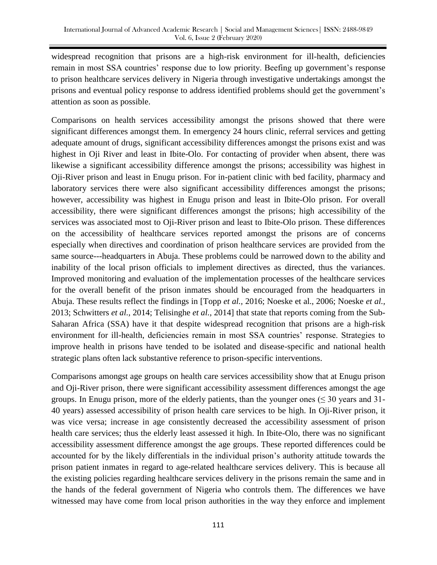widespread recognition that prisons are a high-risk environment for ill-health, deficiencies remain in most SSA countries' response due to low priority. Beefing up government's response to prison healthcare services delivery in Nigeria through investigative undertakings amongst the prisons and eventual policy response to address identified problems should get the government's attention as soon as possible.

Comparisons on health services accessibility amongst the prisons showed that there were significant differences amongst them. In emergency 24 hours clinic, referral services and getting adequate amount of drugs, significant accessibility differences amongst the prisons exist and was highest in Oji River and least in Ibite-Olo. For contacting of provider when absent, there was likewise a significant accessibility difference amongst the prisons; accessibility was highest in Oji-River prison and least in Enugu prison. For in-patient clinic with bed facility, pharmacy and laboratory services there were also significant accessibility differences amongst the prisons; however, accessibility was highest in Enugu prison and least in Ibite-Olo prison. For overall accessibility, there were significant differences amongst the prisons; high accessibility of the services was associated most to Oji-River prison and least to Ibite-Olo prison. These differences on the accessibility of healthcare services reported amongst the prisons are of concerns especially when directives and coordination of prison healthcare services are provided from the same source---headquarters in Abuja. These problems could be narrowed down to the ability and inability of the local prison officials to implement directives as directed, thus the variances. Improved monitoring and evaluation of the implementation processes of the healthcare services for the overall benefit of the prison inmates should be encouraged from the headquarters in Abuja. These results reflect the findings in [Topp *et al.,* 2016; Noeske et al., 2006; Noeske *et al.,* 2013; Schwitters *et al.,* 2014; Telisinghe *et al.,* 2014] that state that reports coming from the Sub-Saharan Africa (SSA) have it that despite widespread recognition that prisons are a high-risk environment for ill-health, deficiencies remain in most SSA countries' response. Strategies to improve health in prisons have tended to be isolated and disease-specific and national health strategic plans often lack substantive reference to prison-specific interventions.

Comparisons amongst age groups on health care services accessibility show that at Enugu prison and Oji-River prison, there were significant accessibility assessment differences amongst the age groups. In Enugu prison, more of the elderly patients, than the younger ones ( $\leq 30$  years and 31-40 years) assessed accessibility of prison health care services to be high. In Oji-River prison, it was vice versa; increase in age consistently decreased the accessibility assessment of prison health care services; thus the elderly least assessed it high. In Ibite-Olo, there was no significant accessibility assessment difference amongst the age groups. These reported differences could be accounted for by the likely differentials in the individual prison's authority attitude towards the prison patient inmates in regard to age-related healthcare services delivery. This is because all the existing policies regarding healthcare services delivery in the prisons remain the same and in the hands of the federal government of Nigeria who controls them. The differences we have witnessed may have come from local prison authorities in the way they enforce and implement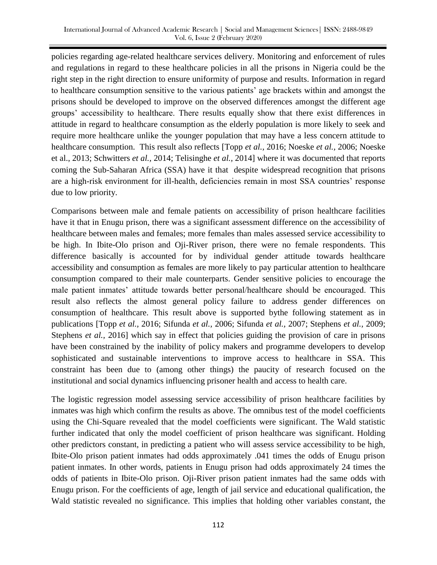policies regarding age-related healthcare services delivery. Monitoring and enforcement of rules and regulations in regard to these healthcare policies in all the prisons in Nigeria could be the right step in the right direction to ensure uniformity of purpose and results. Information in regard to healthcare consumption sensitive to the various patients' age brackets within and amongst the prisons should be developed to improve on the observed differences amongst the different age groups' accessibility to healthcare. There results equally show that there exist differences in attitude in regard to healthcare consumption as the elderly population is more likely to seek and require more healthcare unlike the younger population that may have a less concern attitude to healthcare consumption. This result also reflects [Topp *et al.,* 2016; Noeske *et al.,* 2006; Noeske et al., 2013; Schwitters *et al.,* 2014; Telisinghe *et al.,* 2014] where it was documented that reports coming the Sub-Saharan Africa (SSA) have it that despite widespread recognition that prisons are a high-risk environment for ill-health, deficiencies remain in most SSA countries' response due to low priority.

Comparisons between male and female patients on accessibility of prison healthcare facilities have it that in Enugu prison, there was a significant assessment difference on the accessibility of healthcare between males and females; more females than males assessed service accessibility to be high. In Ibite-Olo prison and Oji-River prison, there were no female respondents. This difference basically is accounted for by individual gender attitude towards healthcare accessibility and consumption as females are more likely to pay particular attention to healthcare consumption compared to their male counterparts. Gender sensitive policies to encourage the male patient inmates' attitude towards better personal/healthcare should be encouraged. This result also reflects the almost general policy failure to address gender differences on consumption of healthcare. This result above is supported bythe following statement as in publications [Topp *et al.,* 2016; Sifunda *et al.,* 2006; Sifunda *et al.,* 2007; Stephens *et al.,* 2009; Stephens *et al.*, 2016] which say in effect that policies guiding the provision of care in prisons have been constrained by the inability of policy makers and programme developers to develop sophisticated and sustainable interventions to improve access to healthcare in SSA. This constraint has been due to (among other things) the paucity of research focused on the institutional and social dynamics influencing prisoner health and access to health care.

The logistic regression model assessing service accessibility of prison healthcare facilities by inmates was high which confirm the results as above. The omnibus test of the model coefficients using the Chi-Square revealed that the model coefficients were significant. The Wald statistic further indicated that only the model coefficient of prison healthcare was significant. Holding other predictors constant, in predicting a patient who will assess service accessibility to be high, Ibite-Olo prison patient inmates had odds approximately .041 times the odds of Enugu prison patient inmates. In other words, patients in Enugu prison had odds approximately 24 times the odds of patients in Ibite-Olo prison. Oji-River prison patient inmates had the same odds with Enugu prison. For the coefficients of age, length of jail service and educational qualification, the Wald statistic revealed no significance. This implies that holding other variables constant, the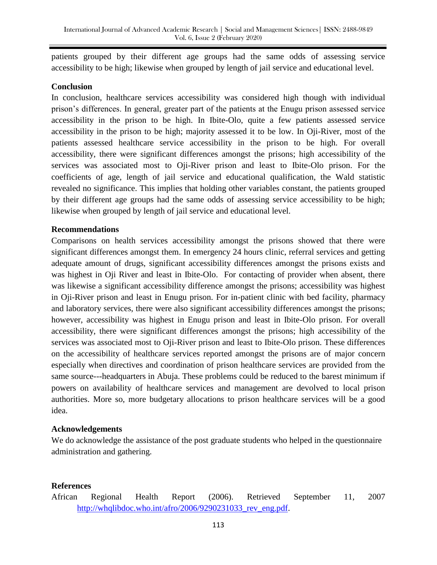patients grouped by their different age groups had the same odds of assessing service accessibility to be high; likewise when grouped by length of jail service and educational level.

## **Conclusion**

In conclusion, healthcare services accessibility was considered high though with individual prison's differences. In general, greater part of the patients at the Enugu prison assessed service accessibility in the prison to be high. In Ibite-Olo, quite a few patients assessed service accessibility in the prison to be high; majority assessed it to be low. In Oji-River, most of the patients assessed healthcare service accessibility in the prison to be high. For overall accessibility, there were significant differences amongst the prisons; high accessibility of the services was associated most to Oji-River prison and least to Ibite-Olo prison. For the coefficients of age, length of jail service and educational qualification, the Wald statistic revealed no significance. This implies that holding other variables constant, the patients grouped by their different age groups had the same odds of assessing service accessibility to be high; likewise when grouped by length of jail service and educational level.

## **Recommendations**

Comparisons on health services accessibility amongst the prisons showed that there were significant differences amongst them. In emergency 24 hours clinic, referral services and getting adequate amount of drugs, significant accessibility differences amongst the prisons exists and was highest in Oji River and least in Ibite-Olo. For contacting of provider when absent, there was likewise a significant accessibility difference amongst the prisons; accessibility was highest in Oji-River prison and least in Enugu prison. For in-patient clinic with bed facility, pharmacy and laboratory services, there were also significant accessibility differences amongst the prisons; however, accessibility was highest in Enugu prison and least in Ibite-Olo prison. For overall accessibility, there were significant differences amongst the prisons; high accessibility of the services was associated most to Oji-River prison and least to Ibite-Olo prison. These differences on the accessibility of healthcare services reported amongst the prisons are of major concern especially when directives and coordination of prison healthcare services are provided from the same source---headquarters in Abuja. These problems could be reduced to the barest minimum if powers on availability of healthcare services and management are devolved to local prison authorities. More so, more budgetary allocations to prison healthcare services will be a good idea.

## **Acknowledgements**

We do acknowledge the assistance of the post graduate students who helped in the questionnaire administration and gathering.

# **References**

African Regional Health Report (2006). Retrieved September 11, 2007 http://whqlibdoc.who.int/afro/2006/9290231033 rev eng.pdf.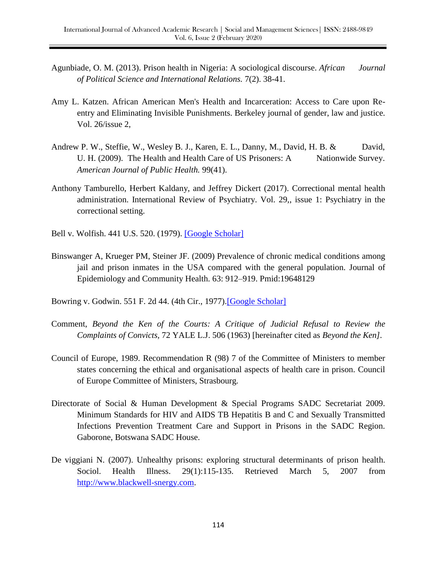- Agunbiade, O. M. (2013). Prison health in Nigeria: A sociological discourse. *African Journal of Political Science and International Relations.* 7(2). 38-41.
- Amy L. Katzen. African American Men's Health and Incarceration: Access to Care upon Reentry and Eliminating Invisible Punishments. Berkeley journal of gender, law and justice. Vol. 26/issue 2,
- Andrew P. W., Steffie, W., Wesley B. J., Karen, E. L., Danny, M., David, H. B. & David, U. H. (2009). The Health and Health Care of US Prisoners: A Nationwide Survey. *American Journal of Public Health.* 99(41).
- Anthony Tamburello, Herbert Kaldany, and Jeffrey Dickert (2017). Correctional mental health administration. International Review of Psychiatry. Vol. 29,, issue 1: Psychiatry in the correctional setting.
- Bell v. Wolfish. 441 U.S. 520. (1979). [\[Google Scholar\]](http://scholar.google.com/scholar_lookup?hl=en&publication_year=1979&author=Bell+v.+Wolfish&)
- Binswanger A, Krueger PM, Steiner JF. (2009) Prevalence of chronic medical conditions among jail and prison inmates in the USA compared with the general population. Journal of Epidemiology and Community Health. 63: 912–919. Pmid:19648129
- Bowring v. Godwin. 551 F. 2d 44. (4th Cir., 1977)[.\[Google Scholar\]](http://scholar.google.com/scholar_lookup?hl=en&publication_year=1977&author=Bowring+v.+Godwin&)
- Comment, *Beyond the Ken of the Courts: A Critique of Judicial Refusal to Review the Complaints of Convicts,* 72 YALE L.J. 506 (1963) [hereinafter cited as *Beyond the Ken].*
- Council of Europe, 1989. Recommendation R (98) 7 of the Committee of Ministers to member states concerning the ethical and organisational aspects of health care in prison. Council of Europe Committee of Ministers, Strasbourg.
- Directorate of Social & Human Development & Special Programs SADC Secretariat 2009. Minimum Standards for HIV and AIDS TB Hepatitis B and C and Sexually Transmitted Infections Prevention Treatment Care and Support in Prisons in the SADC Region. Gaborone, Botswana SADC House.
- De viggiani N. (2007). Unhealthy prisons: exploring structural determinants of prison health. Sociol. Health Illness. 29(1):115-135. Retrieved March 5, 2007 from [http://www.blackwell-snergy.com.](http://www.blackwell-snergy.com/)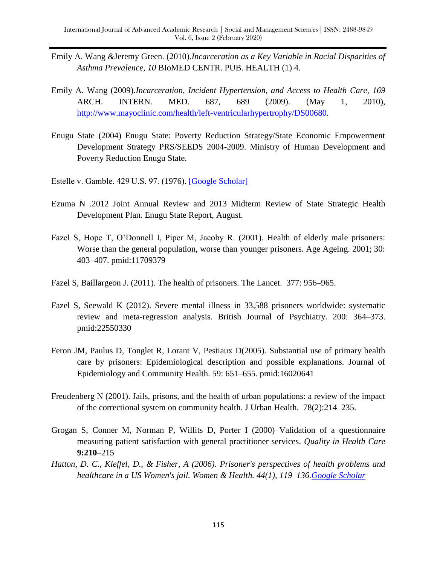- Emily A. Wang *&*Jeremy Green. (2010).*Incarceration as a Key Variable in Racial Disparities of Asthma Prevalence, 10* BIoMED CENTR. PUB. HEALTH (1) 4.
- Emily A. Wang (2009).*Incarceration, Incident Hypertension, and Access to Health Care, 169*  ARCH. INTERN. MED. 687, 689 (2009). (May 1, 2010), [http://www.mayoclinic.com/health/left-ventricularhypertrophy/DS00680.](http://www.mayoclinic.com/health/left-ventricularhypertrophy/DS00680)
- Enugu State (2004) Enugu State: Poverty Reduction Strategy/State Economic Empowerment Development Strategy PRS/SEEDS 2004-2009. Ministry of Human Development and Poverty Reduction Enugu State.
- Estelle v. Gamble. 429 U.S. 97. (1976). [\[Google Scholar\]](http://scholar.google.com/scholar_lookup?hl=en&publication_year=1976&author=Estelle+v.+Gamble&)
- Ezuma N .2012 Joint Annual Review and 2013 Midterm Review of State Strategic Health Development Plan. Enugu State Report, August.
- Fazel S, Hope T, O'Donnell I, Piper M, Jacoby R. (2001). Health of elderly male prisoners: Worse than the general population, worse than younger prisoners. Age Ageing. 2001; 30: 403–407. pmid:11709379
- Fazel S, Baillargeon J. (2011). The health of prisoners. The Lancet. 377: 956–965.
- Fazel S, Seewald K (2012). Severe mental illness in 33,588 prisoners worldwide: systematic review and meta-regression analysis. British Journal of Psychiatry. 200: 364–373. pmid:22550330
- Feron JM, Paulus D, Tonglet R, Lorant V, Pestiaux D(2005). Substantial use of primary health care by prisoners: Epidemiological description and possible explanations. Journal of Epidemiology and Community Health. 59: 651–655. pmid:16020641
- Freudenberg N (2001). Jails, prisons, and the health of urban populations: a review of the impact of the correctional system on community health. J Urban Health. 78(2):214–235.
- Grogan S, Conner M, Norman P, Willits D, Porter I (2000) Validation of a questionnaire measuring patient satisfaction with general practitioner services. *Quality in Health Care*  **9:210**–215
- *Hatton, D. C., Kleffel, D., & Fisher, A (2006). Prisoner's perspectives of health problems and healthcare in a US Women's jail. Women & Health. 44(1), 119–136[.Google Scholar](https://scholar.google.com/scholar?hl=en&q=Hatton%2C%20D.%20C.%2C%20Kleffel%2C%20D.%2C%20%26%20Fisher%2C%20A.%20%282006%29.%20Prisoner%27s%20perspectives%20of%20health%20problems%20and%20healthcare%20in%20a%20US%20Women%27s%20jail.%20Women%20%26%20Health%2C%2044%281%29%2C%20119%E2%80%93136.)*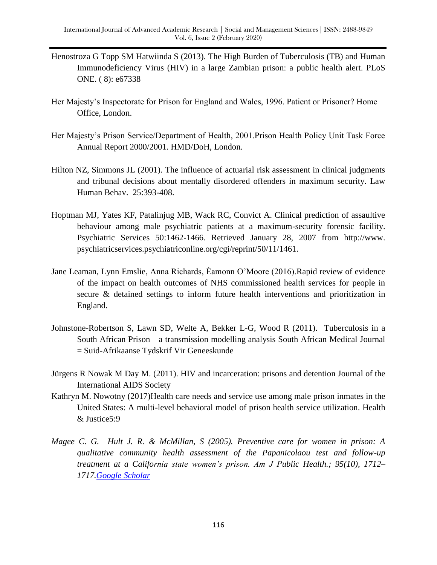- Henostroza G Topp SM Hatwiinda S (2013). The High Burden of Tuberculosis (TB) and Human Immunodeficiency Virus (HIV) in a large Zambian prison: a public health alert. PLoS ONE. ( 8): e67338
- Her Majesty's Inspectorate for Prison for England and Wales, 1996. Patient or Prisoner? Home Office, London.
- Her Majesty's Prison Service/Department of Health, 2001.Prison Health Policy Unit Task Force Annual Report 2000/2001. HMD/DoH, London.
- Hilton NZ, Simmons JL (2001). The influence of actuarial risk assessment in clinical judgments and tribunal decisions about mentally disordered offenders in maximum security. Law Human Behav. 25:393-408.
- Hoptman MJ, Yates KF, Patalinjug MB, Wack RC, Convict A. Clinical prediction of assaultive behaviour among male psychiatric patients at a maximum-security forensic facility. Psychiatric Services 50:1462-1466. Retrieved January 28, 2007 from http://www. psychiatricservices.psychiatriconline.org/cgi/reprint/50/11/1461.
- Jane Leaman, Lynn Emslie, Anna Richards, Éamonn O'Moore (2016).Rapid review of evidence of the impact on health outcomes of NHS commissioned health services for people in secure & detained settings to inform future health interventions and prioritization in England.
- Johnstone-Robertson S, Lawn SD, Welte A, Bekker L-G, Wood R (2011). Tuberculosis in a South African Prison—a transmission modelling analysis South African Medical Journal = Suid-Afrikaanse Tydskrif Vir Geneeskunde
- Jürgens R Nowak M Day M. (2011). HIV and incarceration: prisons and detention Journal of the International AIDS Society
- Kathryn M. Nowotny (2017)Health care needs and service use among male prison inmates in the United States: A multi-level behavioral model of prison health service utilization. Health & Justice5:9
- *Magee C. G. Hult J. R. & McMillan, S (2005). Preventive care for women in prison: A qualitative community health assessment of the Papanicolaou test and follow-up treatment at a California state women's prison. Am J Public Health.; 95(10), 1712– 1717[.Google Scholar](https://scholar.google.com/scholar?hl=en&q=Magee%2C%20C.%20G.%2C%20Hult%2C%20J.%20R.%2C%20%26%20McMillan%2C%20S.%20%282005%29.%20Preventive%20care%20for%20women%20in%20prison%3A%20A%20qualitative%20community%20health%20assessment%20of%20the%20Papanicolaou%20test%20and%20follow-up%20treatment%20at%20a%20California%20state%20women%E2%80%99s%20prison.%20Am%20J%20Public%20Health%2C%2095%2810%29%2C%201712%E2%80%931717.)*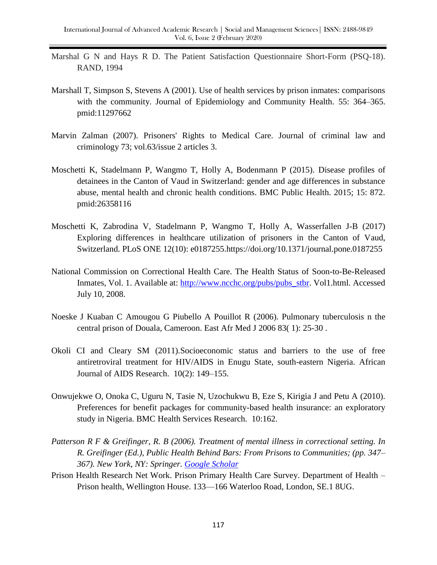- Marshal G N and Hays R D. The Patient Satisfaction Questionnaire Short-Form (PSQ-18). RAND, 1994
- Marshall T, Simpson S, Stevens A (2001). Use of health services by prison inmates: comparisons with the community. Journal of Epidemiology and Community Health. 55: 364–365. pmid:11297662
- Marvin Zalman (2007). Prisoners' Rights to Medical Care. Journal of criminal law and criminology 73; vol.63/issue 2 articles 3.
- Moschetti K, Stadelmann P, Wangmo T, Holly A, Bodenmann P (2015). Disease profiles of detainees in the Canton of Vaud in Switzerland: gender and age differences in substance abuse, mental health and chronic health conditions. BMC Public Health. 2015; 15: 872. pmid:26358116
- Moschetti K, Zabrodina V, Stadelmann P, Wangmo T, Holly A, Wasserfallen J-B (2017) Exploring differences in healthcare utilization of prisoners in the Canton of Vaud, Switzerland. PLoS ONE 12(10): e0187255.https://doi.org/10.1371/journal.pone.0187255
- National Commission on Correctional Health Care. The Health Status of Soon-to-Be-Released Inmates, Vol. 1. Available at: [http://www.ncchc.org/pubs/pubs\\_stbr.](http://www.ncchc.org/pubs/pubs_stbr) Vol1.html. Accessed July 10, 2008.
- Noeske J Kuaban C Amougou G Piubello A Pouillot R (2006). Pulmonary tuberculosis n the central prison of Douala, Cameroon. East Afr Med J 2006 83( 1): 25-30 .
- Okoli CI and Cleary SM (2011).Socioeconomic status and barriers to the use of free antiretroviral treatment for HIV/AIDS in Enugu State, south-eastern Nigeria. African Journal of AIDS Research. 10(2): 149–155.
- Onwujekwe O, Onoka C, Uguru N, Tasie N, Uzochukwu B, Eze S, Kirigia J and Petu A (2010). Preferences for benefit packages for community-based health insurance: an exploratory study in Nigeria. BMC Health Services Research. 10:162.
- *Patterson R F & Greifinger, R. B (2006). Treatment of mental illness in correctional setting. In R. Greifinger (Ed.), Public Health Behind Bars: From Prisons to Communities; (pp. 347– 367). New York, NY: Springer. [Google Scholar](https://scholar.google.com/scholar?hl=en&q=Patterson%2C%20R.%20F.%2C%20%26%20Greifinger%2C%20R.%20B.%20%282006%29.%20Treatment%20of%20mental%20illness%20in%20correctional%20setting.%20In%20R.%20Greifinger%20%28Ed.%29%2C%20Public%20Health%20Behind%20Bars%3A%20From%20Prisons%20to%20Communities%20%28pp.%20347%E2%80%93367%29.%20New%20York%2C%20NY%3A%20Springer.)*
- Prison Health Research Net Work. Prison Primary Health Care Survey. Department of Health Prison health, Wellington House. 133—166 Waterloo Road, London, SE.1 8UG.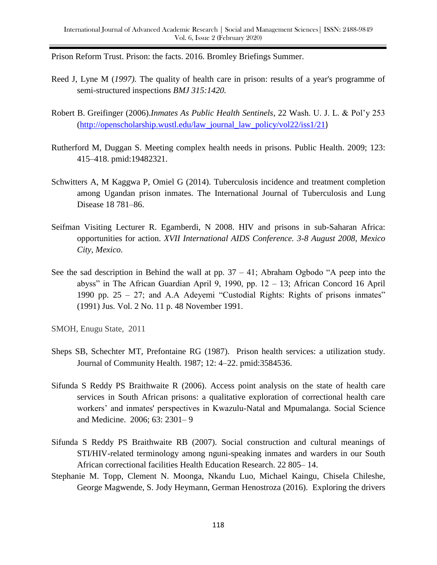Prison Reform Trust. Prison: the facts. 2016. Bromley Briefings Summer.

- Reed J, Lyne M (*1997).* The quality of health care in prison: results of a year's programme of semi-structured inspections *BMJ 315:1420.*
- Robert B. Greifinger (2006).*Inmates As Public Health Sentinels*, 22 Wash. U. J. L. & Pol'y 253 [\(http://openscholarship.wustl.edu/law\\_journal\\_law\\_policy/vol22/iss1/21](http://openscholarship.wustl.edu/law_journal_law_policy/vol22/iss1/21))
- Rutherford M, Duggan S. Meeting complex health needs in prisons. Public Health. 2009; 123: 415–418. pmid:19482321.
- Schwitters A, M Kaggwa P, Omiel G (2014). Tuberculosis incidence and treatment completion among Ugandan prison inmates. The International Journal of Tuberculosis and Lung Disease 18 781–86.
- Seifman Visiting Lecturer R. Egamberdi, N 2008. HIV and prisons in sub-Saharan Africa: opportunities for action. *XVII International AIDS Conference. 3-8 August 2008, Mexico City, Mexico*.
- See the sad description in Behind the wall at pp.  $37 41$ ; Abraham Ogbodo "A peep into the abyss" in The African Guardian April 9, 1990, pp.  $12 - 13$ ; African Concord 16 April 1990 pp.  $25 - 27$ ; and A.A Adeyemi "Custodial Rights: Rights of prisons inmates" (1991) Jus. Vol. 2 No. 11 p. 48 November 1991.

SMOH, Enugu State, 2011

- Sheps SB, Schechter MT, Prefontaine RG (1987). Prison health services: a utilization study. Journal of Community Health. 1987; 12: 4–22. pmid:3584536.
- Sifunda S Reddy PS Braithwaite R (2006). Access point analysis on the state of health care services in South African prisons: a qualitative exploration of correctional health care workers' and inmates' perspectives in Kwazulu-Natal and Mpumalanga. Social Science and Medicine. 2006; 63: 2301– 9
- Sifunda S Reddy PS Braithwaite RB (2007). Social construction and cultural meanings of STI/HIV-related terminology among nguni-speaking inmates and warders in our South African correctional facilities Health Education Research. 22 805– 14.
- Stephanie M. Topp, Clement N. Moonga, Nkandu Luo, Michael Kaingu, Chisela Chileshe, George Magwende, S. Jody Heymann, German Henostroza (2016). Exploring the drivers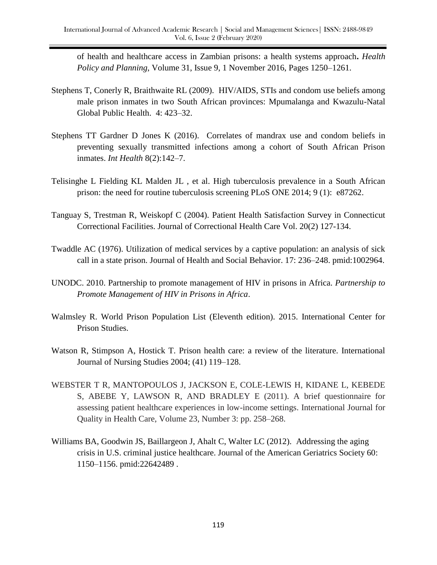of health and healthcare access in Zambian prisons: a health systems approach**.** *Health Policy and Planning*, Volume 31, Issue 9, 1 November 2016, Pages 1250–1261.

- Stephens T, Conerly R, Braithwaite RL (2009). HIV/AIDS, STIs and condom use beliefs among male prison inmates in two South African provinces: Mpumalanga and Kwazulu-Natal Global Public Health. 4: 423–32.
- Stephens TT Gardner D Jones K (2016). Correlates of mandrax use and condom beliefs in preventing sexually transmitted infections among a cohort of South African Prison inmates. *Int Health* 8(2):142–7.
- Telisinghe L Fielding KL Malden JL , et al. High tuberculosis prevalence in a South African prison: the need for routine tuberculosis screening PLoS ONE 2014; 9 (1): e87262.
- Tanguay S, Trestman R, Weiskopf C (2004). Patient Health Satisfaction Survey in Connecticut Correctional Facilities. Journal of Correctional Health Care Vol. 20(2) 127-134.
- Twaddle AC (1976). Utilization of medical services by a captive population: an analysis of sick call in a state prison. Journal of Health and Social Behavior. 17: 236–248. pmid:1002964.
- UNODC. 2010. Partnership to promote management of HIV in prisons in Africa. *Partnership to Promote Management of HIV in Prisons in Africa*.
- Walmsley R. World Prison Population List (Eleventh edition). 2015. International Center for Prison Studies.
- Watson R, Stimpson A, Hostick T. Prison health care: a review of the literature. International Journal of Nursing Studies 2004; (41) 119–128.
- WEBSTER T R, MANTOPOULOS J, JACKSON E, COLE-LEWIS H, KIDANE L, KEBEDE S, ABEBE Y, LAWSON R, AND BRADLEY E (2011). A brief questionnaire for assessing patient healthcare experiences in low-income settings. International Journal for Quality in Health Care, Volume 23, Number 3: pp. 258–268.
- Williams BA, Goodwin JS, Baillargeon J, Ahalt C, Walter LC (2012). Addressing the aging crisis in U.S. criminal justice healthcare. Journal of the American Geriatrics Society 60: 1150–1156. pmid:22642489 .